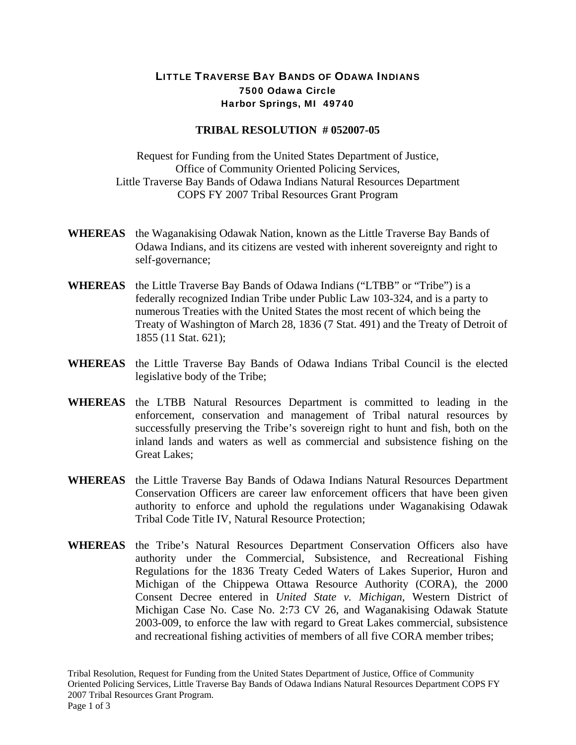## LITTLE TRAVERSE BAY BANDS OF ODAWA INDIANS 7500 Odawa Circle Harbor Springs, MI 49740

## **TRIBAL RESOLUTION # 052007-05**

Request for Funding from the United States Department of Justice, Office of Community Oriented Policing Services, Little Traverse Bay Bands of Odawa Indians Natural Resources Department COPS FY 2007 Tribal Resources Grant Program

- **WHEREAS** the Waganakising Odawak Nation, known as the Little Traverse Bay Bands of Odawa Indians, and its citizens are vested with inherent sovereignty and right to self-governance;
- **WHEREAS** the Little Traverse Bay Bands of Odawa Indians ("LTBB" or "Tribe") is a federally recognized Indian Tribe under Public Law 103-324, and is a party to numerous Treaties with the United States the most recent of which being the Treaty of Washington of March 28, 1836 (7 Stat. 491) and the Treaty of Detroit of 1855 (11 Stat. 621);
- **WHEREAS** the Little Traverse Bay Bands of Odawa Indians Tribal Council is the elected legislative body of the Tribe;
- **WHEREAS** the LTBB Natural Resources Department is committed to leading in the enforcement, conservation and management of Tribal natural resources by successfully preserving the Tribe's sovereign right to hunt and fish, both on the inland lands and waters as well as commercial and subsistence fishing on the Great Lakes;
- **WHEREAS** the Little Traverse Bay Bands of Odawa Indians Natural Resources Department Conservation Officers are career law enforcement officers that have been given authority to enforce and uphold the regulations under Waganakising Odawak Tribal Code Title IV, Natural Resource Protection;
- **WHEREAS** the Tribe's Natural Resources Department Conservation Officers also have authority under the Commercial, Subsistence, and Recreational Fishing Regulations for the 1836 Treaty Ceded Waters of Lakes Superior, Huron and Michigan of the Chippewa Ottawa Resource Authority (CORA), the 2000 Consent Decree entered in *United State v. Michigan,* Western District of Michigan Case No. Case No. 2:73 CV 26, and Waganakising Odawak Statute 2003-009, to enforce the law with regard to Great Lakes commercial, subsistence and recreational fishing activities of members of all five CORA member tribes;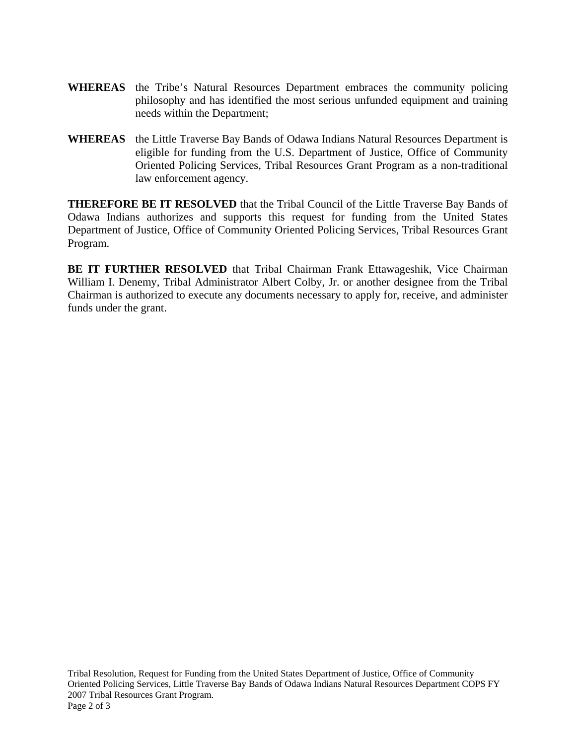- **WHEREAS** the Tribe's Natural Resources Department embraces the community policing philosophy and has identified the most serious unfunded equipment and training needs within the Department;
- **WHEREAS** the Little Traverse Bay Bands of Odawa Indians Natural Resources Department is eligible for funding from the U.S. Department of Justice, Office of Community Oriented Policing Services, Tribal Resources Grant Program as a non-traditional law enforcement agency.

**THEREFORE BE IT RESOLVED** that the Tribal Council of the Little Traverse Bay Bands of Odawa Indians authorizes and supports this request for funding from the United States Department of Justice, Office of Community Oriented Policing Services, Tribal Resources Grant Program.

**BE IT FURTHER RESOLVED** that Tribal Chairman Frank Ettawageshik, Vice Chairman William I. Denemy, Tribal Administrator Albert Colby, Jr. or another designee from the Tribal Chairman is authorized to execute any documents necessary to apply for, receive, and administer funds under the grant.